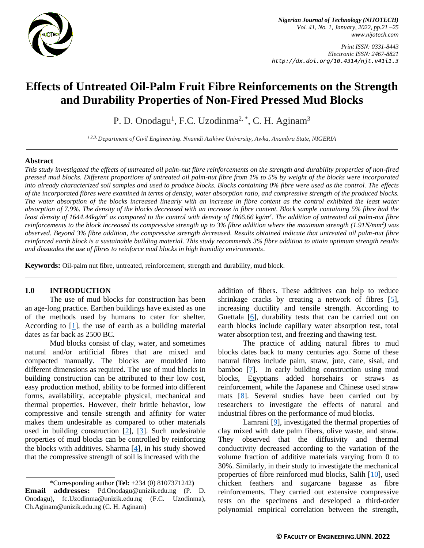

*Nigerian Journal of Technology (NIJOTECH) Vol. 41, No. 1, January, 2022, pp.21 –25 [www.nijotech.com](http://www.nijotech.com/)*

*Print ISSN: 0331-8443 Electronic ISSN: 2467-8821 http://dx.doi.org/10.4314/njt.v41i1.3*

# **Effects of Untreated Oil-Palm Fruit Fibre Reinforcements on the Strength and Durability Properties of Non-Fired Pressed Mud Blocks**

P. D. Onodagu<sup>1</sup>, F.C. Uzodinma<sup>2, \*</sup>, C. H. Aginam<sup>3</sup>

*1,2,3, Department of Civil Engineering. Nnamdi Azikiwe University, Awka, Anambra State, NIGERIA*

## **Abstract**

*This study investigated the effects of untreated oil palm-nut fibre reinforcements on the strength and durability properties of non-fired pressed mud blocks. Different proportions of untreated oil palm-nut fibre from 1% to 5% by weight of the blocks were incorporated into already characterized soil samples and used to produce blocks. Blocks containing 0% fibre were used as the control. The effects of the incorporated fibres were examined in terms of density, water absorption ratio, and compressive strength of the produced blocks. The water absorption of the blocks increased linearly with an increase in fibre content as the control exhibited the least water absorption of 7.9%. The density of the blocks decreased with an increase in fibre content. Block sample containing 5% fibre had the least density of 1644.44kg/m<sup>3</sup> as compared to the control with density of 1866.66 kg/m<sup>3</sup> . The addition of untreated oil palm-nut fibre reinforcements to the block increased its compressive strength up to 3% fibre addition where the maximum strength (1.91N/mm<sup>2</sup> ) was observed. Beyond 3% fibre addition, the compressive strength decreased. Results obtained indicate that untreated oil palm-nut fibre reinforced earth block is a sustainable building material. This study recommends 3% fibre addition to attain optimum strength results and dissuades the use of fibres to reinforce mud blocks in high humidity environments*.

**Keywords:** Oil-palm nut fibre, untreated, reinforcement, strength and durability, mud block.

## **1.0 INTRODUCTION**

The use of mud blocks for construction has been an age-long practice. Earthen buildings have existed as one of the methods used by humans to cater for shelter. According to  $[1]$ , the use of earth as a building material dates as far back as 2500 BC.

Mud blocks consist of clay, water, and sometimes natural and/or artificial fibres that are mixed and compacted manually. The blocks are moulded into different dimensions as required. The use of mud blocks in building construction can be attributed to their low cost, easy production method, ability to be formed into different forms, availability, acceptable physical, mechanical and thermal properties. However, their brittle behavior, low compressive and tensile strength and affinity for water makes them undesirable as compared to other materials used in building construction [\[2\]](#page-3-1), [\[3\]](#page-3-2). Such undesirable properties of mud blocks can be controlled by reinforcing the blocks with additives. Sharma  $[4]$ , in his study showed that the compressive strength of soil is increased with the

\*Corresponding author **[\(Te](mailto:samnnaemeka.ugwu@unn.edu.ng)l:** +234 (0) 8107371242**) Email addresses:** [Pd.Onodagu@unizik.edu.ng](mailto:Pd.Onodagu@unizik.edu.ng) (P. D. Onodagu), [fc.Uzodinma@unizik.edu.ng](mailto:fc.Uzodinma@unizik.edu.ng) (F.C. Uzodinma), [Ch.Aginam@unizik.edu.ng](mailto:Ch.Aginam@unizik.edu.ng) (C. H. Aginam)

addition of fibers. These additives can help to reduce shrinkage cracks by creating a network of fibres [\[5\]](#page-3-4), increasing ductility and tensile strength. According to Guettala [\[6\]](#page-4-0), durability tests that can be carried out on earth blocks include capillary water absorption test, total water absorption test, and freezing and thawing test.

The practice of adding natural fibres to mud blocks dates back to many centuries ago. Some of these natural fibres include palm, straw, jute, cane, sisal, and bamboo [\[7\]](#page-4-1). In early building construction using mud blocks, Egyptians added horsehairs or straws as reinforcement, while the Japanese and Chinese used straw mats [\[8\]](#page-4-2). Several studies have been carried out by researchers to investigate the effects of natural and industrial fibres on the performance of mud blocks.

Lamrani [\[9\]](#page-4-3), investigated the thermal properties of clay mixed with date palm fibers, olive waste, and straw. They observed that the diffusivity and thermal conductivity decreased according to the variation of the volume fraction of additive materials varying from 0 to 30%. Similarly, in their study to investigate the mechanical properties of fibre reinforced mud blocks, Salih [\[10\]](#page-4-4), used chicken feathers and sugarcane bagasse as fibre reinforcements. They carried out extensive compressive tests on the specimens and developed a third-order polynomial empirical correlation between the strength,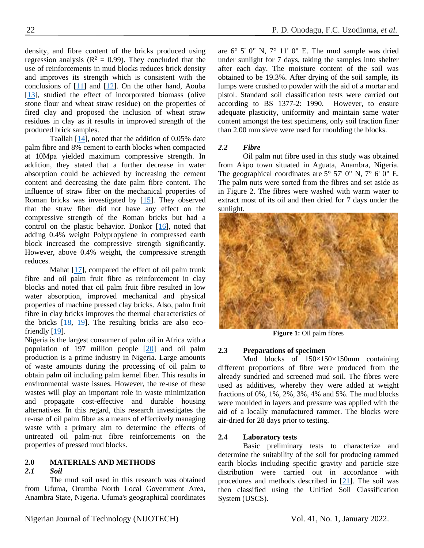density, and fibre content of the bricks produced using regression analysis ( $R^2 = 0.99$ ). They concluded that the use of reinforcements in mud blocks reduces brick density and improves its strength which is consistent with the conclusions of [\[11\]](#page-4-5) and [\[12\]](#page-4-6). On the other hand, Aouba [\[13\]](#page-4-7), studied the effect of incorporated biomass (olive stone flour and wheat straw residue) on the properties of fired clay and proposed the inclusion of wheat straw residues in clay as it results in improved strength of the produced brick samples.

Taallah [\[14\]](#page-4-8), noted that the addition of 0.05% date palm fibre and 8% cement to earth blocks when compacted at 10Mpa yielded maximum compressive strength. In addition, they stated that a further decrease in water absorption could be achieved by increasing the cement content and decreasing the date palm fibre content. The influence of straw fiber on the mechanical properties of Roman bricks was investigated by [\[15\]](#page-4-9). They observed that the straw fiber did not have any effect on the compressive strength of the Roman bricks but had a control on the plastic behavior. Donkor [\[16\]](#page-4-10), noted that adding 0.4% weight Polypropylene in compressed earth block increased the compressive strength significantly. However, above 0.4% weight, the compressive strength reduces.

Mahat  $[17]$ , compared the effect of oil palm trunk fibre and oil palm fruit fibre as reinforcement in clay blocks and noted that oil palm fruit fibre resulted in low water absorption, improved mechanical and physical properties of machine pressed clay bricks. Also, palm fruit fibre in clay bricks improves the thermal characteristics of the bricks [\[18,](#page-4-12) [19\]](#page-4-13). The resulting bricks are also ecofriendly [\[19\]](#page-4-13).

Nigeria is the largest consumer of palm oil in Africa with a population of 197 million people [\[20\]](#page-4-14) and oil palm production is a prime industry in Nigeria. Large amounts of waste amounts during the processing of oil palm to obtain palm oil including palm kernel fiber. This results in environmental waste issues. However, the re-use of these wastes will play an important role in waste minimization and propagate cost-effective and durable housing alternatives. In this regard, this research investigates the re-use of oil palm fibre as a means of effectively managing waste with a primary aim to determine the effects of untreated oil palm-nut fibre reinforcements on the properties of pressed mud blocks.

# **2.0 MATERIALS AND METHODS**

## *2.1 Soil*

The mud soil used in this research was obtained from Ufuma, Orumba North Local Government Area, Anambra State, Nigeria. Ufuma's geographical coordinates

are 6° 5' 0" N, 7° 11' 0" E. The mud sample was dried under sunlight for 7 days, taking the samples into shelter after each day. The moisture content of the soil was obtained to be 19.3%. After drying of the soil sample, its lumps were crushed to powder with the aid of a mortar and pistol. Standard soil classification tests were carried out according to BS 1377-2: 1990. However, to ensure adequate plasticity, uniformity and maintain same water content amongst the test specimens, only soil fraction finer than 2.00 mm sieve were used for moulding the blocks.

# *2.2 Fibre*

Oil palm nut fibre used in this study was obtained from Akpo town situated in Aguata, Anambra, Nigeria. The geographical coordinates are  $5^{\circ}$  57' 0" N,  $7^{\circ}$  6' 0" E. The palm nuts were sorted from the fibres and set aside as in Figure 2. The fibres were washed with warm water to extract most of its oil and then dried for 7 days under the sunlight.



**Figure 1:** Oil palm fibres

# **2.3 Preparations of specimen**

Mud blocks of 150×150×150mm containing different proportions of fibre were produced from the already sundried and screened mud soil. The fibres were used as additives, whereby they were added at weight fractions of 0%, 1%, 2%, 3%, 4% and 5%. The mud blocks were moulded in layers and pressure was applied with the aid of a locally manufactured rammer. The blocks were air-dried for 28 days prior to testing.

# **2.4 Laboratory tests**

Basic preliminary tests to characterize and determine the suitability of the soil for producing rammed earth blocks including specific gravity and particle size distribution were carried out in accordance with procedures and methods described in [\[21\]](#page-4-15). The soil was then classified using the Unified Soil Classification System (USCS).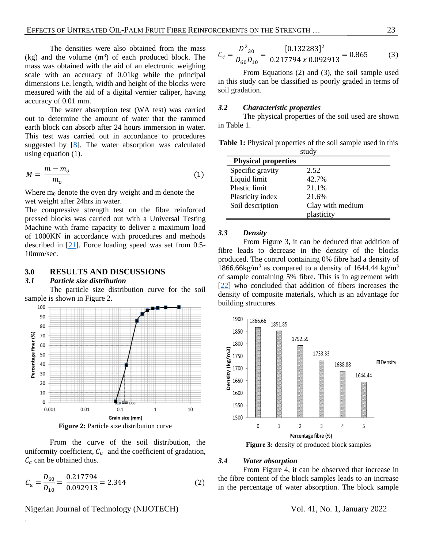The densities were also obtained from the mass  $(kg)$  and the volume  $(m<sup>3</sup>)$  of each produced block. The mass was obtained with the aid of an electronic weighing scale with an accuracy of 0.01kg while the principal dimensions i.e. length, width and height of the blocks were measured with the aid of a digital vernier caliper, having accuracy of 0.01 mm.

The water absorption test (WA test) was carried out to determine the amount of water that the rammed earth block can absorb after 24 hours immersion in water. This test was carried out in accordance to procedures suggested by  $[8]$ . The water absorption was calculated using equation (1).

$$
M = \frac{m - m_o}{m_o} \tag{1}
$$

Where  $m_0$  denote the oven dry weight and m denote the wet weight after 24hrs in water.

The compressive strength test on the fibre reinforced pressed blocks was carried out with a Universal Testing Machine with frame capacity to deliver a maximum load of 1000KN in accordance with procedures and methods described in [\[21\]](#page-4-15). Force loading speed was set from 0.5- 10mm/sec.

## **3.0 RESULTS AND DISCUSSIONS**

#### *3.1 Particle size distribution*

The particle size distribution curve for the soil sample is shown in Figure 2.



**Figure 2:** Particle size distribution curve

From the curve of the soil distribution, the uniformity coefficient,  $C_u$  and the coefficient of gradation,  $C_c$  can be obtained thus.

$$
C_u = \frac{D_{60}}{D_{10}} = \frac{0.217794}{0.092913} = 2.344\tag{2}
$$

# Nigerian Journal of Technology (NIJOTECH) Vol. 41, No. 1, January 2022

.

$$
C_c = \frac{D^2_{30}}{D_{60}D_{10}} = \frac{[0.132283]^2}{0.217794 \times 0.092913} = 0.865\tag{3}
$$

From Equations (2) and (3), the soil sample used in this study can be classified as poorly graded in terms of soil gradation.

# *3.2 Characteristic properties*

The physical properties of the soil used are shown in Table 1.

**Table 1:** Physical properties of the soil sample used in this study

| -----                      |                  |
|----------------------------|------------------|
| <b>Physical properties</b> |                  |
| Specific gravity           | 2.52             |
| Liquid limit               | 42.7%            |
| Plastic limit              | 21.1%            |
| Plasticity index           | 21.6%            |
| Soil description           | Clay with medium |
|                            | plasticity       |

## *3.3 Density*

From Figure 3, it can be deduced that addition of fibre leads to decrease in the density of the blocks produced. The control containing 0% fibre had a density of 1866.66kg/m<sup>3</sup> as compared to a density of 1644.44 kg/m<sup>3</sup> of sample containing 5% fibre. This is in agreement with [\[22\]](#page-4-16) who concluded that addition of fibers increases the density of composite materials, which is an advantage for building structures.



**Figure 3:** density of produced block samples

#### *3.4 Water absorption*

From Figure 4, it can be observed that increase in the fibre content of the block samples leads to an increase in the percentage of water absorption. The block sample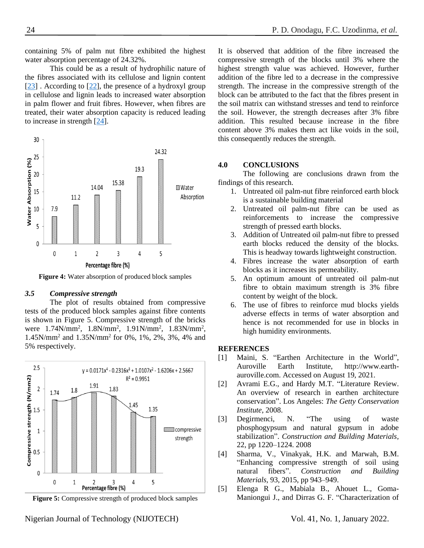containing 5% of palm nut fibre exhibited the highest water absorption percentage of 24.32%.

This could be as a result of hydrophilic nature of the fibres associated with its cellulose and lignin content [\[23\]](#page-4-17) . According to [\[22\]](#page-4-16), the presence of a hydroxyl group in cellulose and lignin leads to increased water absorption in palm flower and fruit fibres. However, when fibres are treated, their water absorption capacity is reduced leading to increase in strength [\[24\]](#page-4-18).



**Figure 4:** Water absorption of produced block samples

#### *3.5 Compressive strength*

The plot of results obtained from compressive tests of the produced block samples against fibre contents is shown in Figure 5. Compressive strength of the bricks were 1.74N/mm<sup>2</sup>, 1.8N/mm<sup>2</sup>, 1.91N/mm<sup>2</sup>, 1.83N/mm<sup>2</sup>, 1.45N/mm<sup>2</sup> and 1.35N/mm<sup>2</sup> for 0%, 1%, 2%, 3%, 4% and 5% respectively.



**Figure 5:** Compressive strength of produced block samples

It is observed that addition of the fibre increased the compressive strength of the blocks until 3% where the highest strength value was achieved. However, further addition of the fibre led to a decrease in the compressive strength. The increase in the compressive strength of the block can be attributed to the fact that the fibres present in the soil matrix can withstand stresses and tend to reinforce the soil. However, the strength decreases after 3% fibre addition. This resulted because increase in the fibre content above 3% makes them act like voids in the soil, this consequently reduces the strength.

# **4.0 CONCLUSIONS**

The following are conclusions drawn from the findings of this research.

- 1. Untreated oil palm-nut fibre reinforced earth block is a sustainable building material
- 2. Untreated oil palm-nut fibre can be used as reinforcements to increase the compressive strength of pressed earth blocks.
- 3. Addition of Untreated oil palm-nut fibre to pressed earth blocks reduced the density of the blocks. This is headway towards lightweight construction.
- 4. Fibres increase the water absorption of earth blocks as it increases its permeability.
- 5. An optimum amount of untreated oil palm-nut fibre to obtain maximum strength is 3% fibre content by weight of the block.
- 6. The use of fibres to reinforce mud blocks yields adverse effects in terms of water absorption and hence is not recommended for use in blocks in high humidity environments.

#### **REFERENCES**

- <span id="page-3-0"></span>[1] Maini, S. "Earthen Architecture in the World", Auroville Earth Institute, http://www.earthauroville.com. Accessed on August 19, 2021.
- <span id="page-3-1"></span>[2] Avrami E.G., and Hardy M.T. "Literature Review. An overview of research in earthen architecture conservation". Los Angeles: *The Getty Conservation Institute*, 2008.
- <span id="page-3-2"></span>[3] Degirmenci, N. "The using of waste phosphogypsum and natural gypsum in adobe stabilization". *Construction and Building Materials,* 22, pp 1220–1224. 2008
- <span id="page-3-3"></span>[4] Sharma, V., Vinakyak, H.K. and Marwah, B.M. "Enhancing compressive strength of soil using natural fibers". *Construction and Building Materials,* 93, 2015, pp 943–949.
- <span id="page-3-4"></span>[5] Elenga R G., Mabiala B., Ahouet L., Goma-Maniongui J., and Dirras G. F. "Characterization of